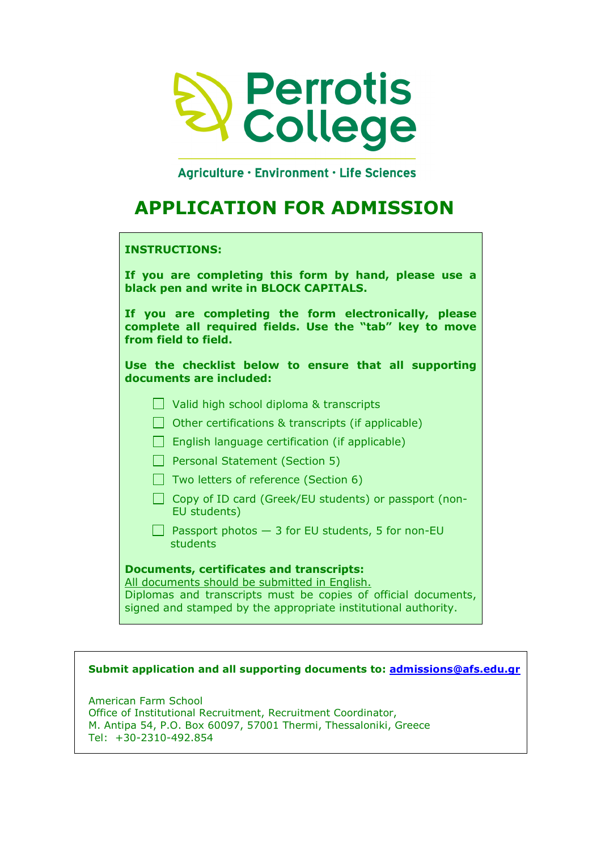

Aariculture · Environment · Life Sciences

# **APPLICATION FOR ADMISSION**

# **INSTRUCTIONS:**

**If you are completing this form by hand, please use a black pen and write in BLOCK CAPITALS. If you are completing the form electronically, please** 

**complete all required fields. Use the "tab" key to move from field to field.** 

**Use the checklist below to ensure that all supporting documents are included:** 

- Valid high school diploma & transcripts
- $\Box$  Other certifications & transcripts (if applicable)
- $\Box$  English language certification (if applicable)
- **Personal Statement (Section 5)**
- $\Box$  Two letters of reference (Section 6)
- $\Box$  Copy of ID card (Greek/EU students) or passport (non-EU students)

**Passport photos**  $-3$  **for EU students, 5 for non-EU** students

# **Documents, certificates and transcripts:**

All documents should be submitted in English. Diplomas and transcripts must be copies of official documents, signed and stamped by the appropriate institutional authority.

# **Submit application and all supporting documents to: admissions@afs.edu.gr**

American Farm School Office of Institutional Recruitment, Recruitment Coordinator, M. Antipa 54, P.O. Box 60097, 57001 Thermi, Thessaloniki, Greece  $Tel: +30-2310-492.854$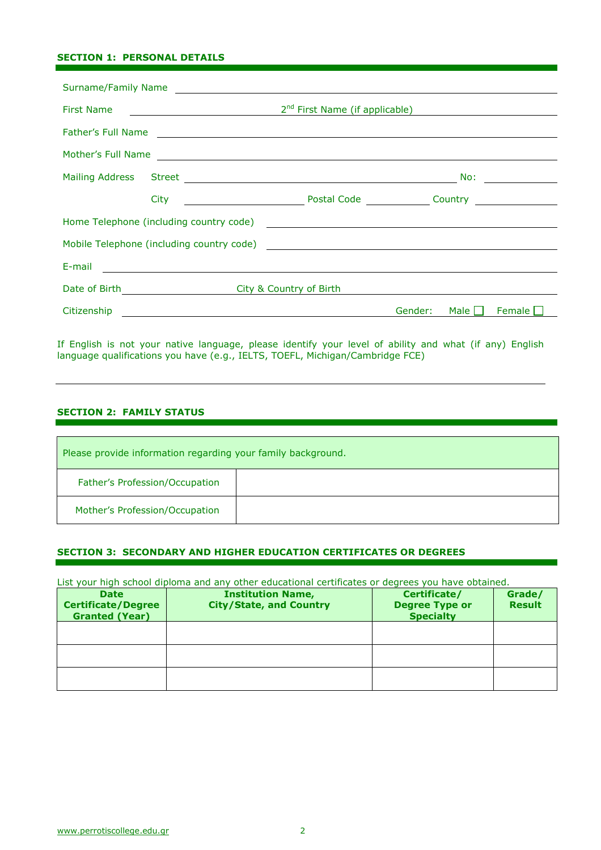## **SECTION 1: PERSONAL DETAILS**

| Surname/Family Name                   |                    |  |         |      |        |
|---------------------------------------|--------------------|--|---------|------|--------|
|                                       |                    |  |         |      |        |
|                                       | Father's Full Name |  |         |      |        |
|                                       |                    |  |         |      |        |
|                                       |                    |  |         |      |        |
|                                       |                    |  |         |      |        |
|                                       |                    |  |         |      |        |
|                                       |                    |  |         |      |        |
|                                       |                    |  |         |      |        |
| Date of Birth City & Country of Birth |                    |  |         |      |        |
|                                       |                    |  | Gender: | Male | Female |

If English is not your native language, please identify your level of ability and what (if any) English language qualifications you have (e.g., IELTS, TOEFL, Michigan/Cambridge FCE)

## **SECTION 2: FAMILY STATUS**

| Please provide information regarding your family background. |  |  |  |
|--------------------------------------------------------------|--|--|--|
| Father's Profession/Occupation                               |  |  |  |
| Mother's Profession/Occupation                               |  |  |  |

## **SECTION 3: SECONDARY AND HIGHER EDUCATION CERTIFICATES OR DEGREES**

List your high school diploma and any other educational certificates or degrees you have obtained.

| <b>Date</b><br><b>Certificate/Degree</b><br><b>Granted (Year)</b> | <b>Institution Name,</b><br><b>City/State, and Country</b> | Certificate/<br><b>Degree Type or</b><br><b>Specialty</b> | Grade/<br><b>Result</b> |
|-------------------------------------------------------------------|------------------------------------------------------------|-----------------------------------------------------------|-------------------------|
|                                                                   |                                                            |                                                           |                         |
|                                                                   |                                                            |                                                           |                         |
|                                                                   |                                                            |                                                           |                         |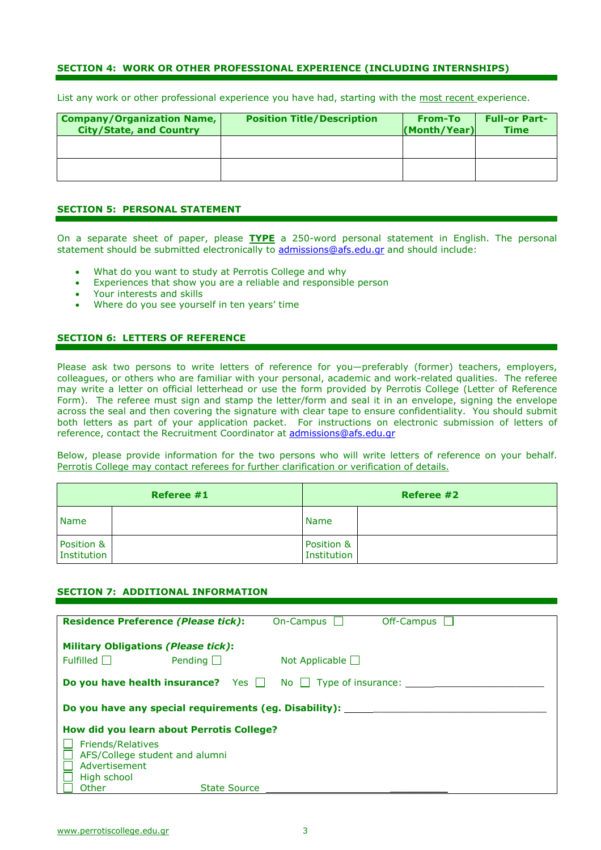#### **SECTION 4: WORK OR OTHER PROFESSIONAL EXPERIENCE (INCLUDING INTERNSHIPS)**

List any work or other professional experience you have had, starting with the most recent experience.

| <b>Company/Organization Name,</b><br><b>City/State, and Country</b> | <b>Position Title/Description</b> | From-To<br>(Month/Year) | <b>Full-or Part-</b><br><b>Time</b> |
|---------------------------------------------------------------------|-----------------------------------|-------------------------|-------------------------------------|
|                                                                     |                                   |                         |                                     |
|                                                                     |                                   |                         |                                     |

#### **SECTION 5: PERSONAL STATEMENT**

On a separate sheet of paper, please **TYPE** a 250-word personal statement in English. The personal statement should be submitted electronically to admissions@afs.edu.gr and should include:

- What do you want to study at Perrotis College and why
- Experiences that show you are a reliable and responsible person
- Your interests and skills
- Where do you see yourself in ten years' time

#### **SECTION 6: LETTERS OF REFERENCE**

Please ask two persons to write letters of reference for you—preferably (former) teachers, employers, colleagues, or others who are familiar with your personal, academic and work-related qualities. The referee may write a letter on official letterhead or use the form provided by Perrotis College (Letter of Reference Form). The referee must sign and stamp the letter/form and seal it in an envelope, signing the envelope across the seal and then covering the signature with clear tape to ensure confidentiality. You should submit both letters as part of your application packet. For instructions on electronic submission of letters of reference, contact the Recruitment Coordinator at admissions@afs.edu.gr

Below, please provide information for the two persons who will write letters of reference on your behalf. Perrotis College may contact referees for further clarification or verification of details.

| Referee #1                |  | Referee #2                       |  |
|---------------------------|--|----------------------------------|--|
| <b>Name</b>               |  | <b>Name</b>                      |  |
| Position &<br>Institution |  | Position &<br><b>Institution</b> |  |

#### **SECTION 7: ADDITIONAL INFORMATION**

| <b>Residence Preference (Please tick):</b>                     |                | On-Campus $\Box$                                                             | Off-Campus |  |
|----------------------------------------------------------------|----------------|------------------------------------------------------------------------------|------------|--|
|                                                                |                |                                                                              |            |  |
| <b>Military Obligations (Please tick):</b>                     |                |                                                                              |            |  |
| Fulled                                                         | Pending $\Box$ | Not Applicable $\Box$                                                        |            |  |
|                                                                |                | <b>Do you have health insurance?</b> Yes $\Box$ No $\Box$ Type of insurance: |            |  |
| Do you have any special requirements (eg. Disability): _______ |                |                                                                              |            |  |
| How did you learn about Perrotis College?                      |                |                                                                              |            |  |
| <b>Friends/Relatives</b>                                       |                |                                                                              |            |  |
| AFS/College student and alumni                                 |                |                                                                              |            |  |
| Advertisement                                                  |                |                                                                              |            |  |
| High school                                                    |                |                                                                              |            |  |
| Other                                                          | State Source   |                                                                              |            |  |